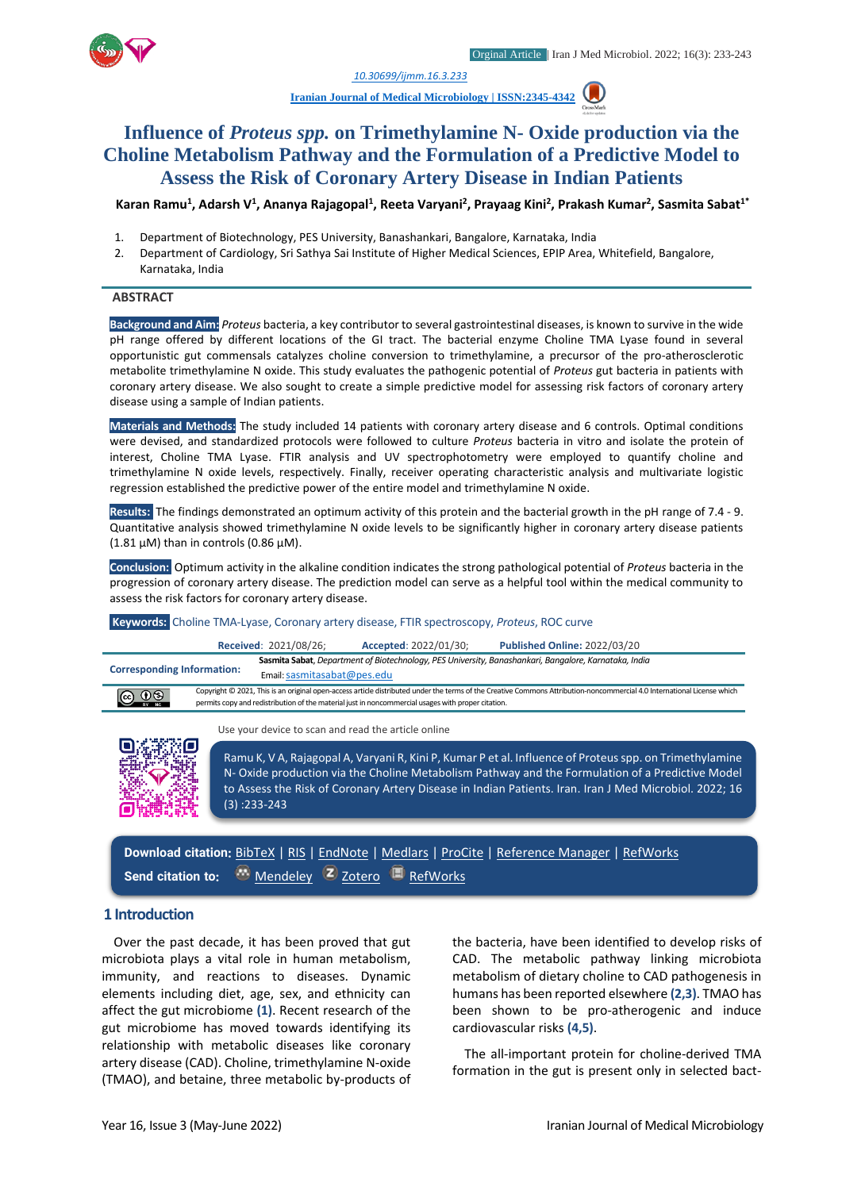

*1. [10.30699/ijmm.16.3.233](http://dx.doi.org/10.30699/ijmm.16.3.243)*

**[Iranian Journal of Medical Microbiology |](https://ijmm.ir/) ISSN:2345-4342**

# **Influence of** *Proteus spp.* **on Trimethylamine N- Oxide production via the Choline Metabolism Pathway and the Formulation of a Predictive Model to Assess the Risk of Coronary Artery Disease in Indian Patients**

**Karan Ramu<sup>1</sup> , Adarsh V<sup>1</sup> , Ananya Rajagopal<sup>1</sup> , Reeta Varyani<sup>2</sup> , Prayaag Kini<sup>2</sup> , Prakash Kumar<sup>2</sup> , Sasmita Sabat1\***

- 1. Department of Biotechnology, PES University, Banashankari, Bangalore, Karnataka, India
- 2. Department of Cardiology, Sri Sathya Sai Institute of Higher Medical Sciences, EPIP Area, Whitefield, Bangalore, Karnataka, India

#### **ABSTRACT**

**Background and Aim:** *Proteus* bacteria, a key contributor to several gastrointestinal diseases, is known to survive in the wide pH range offered by different locations of the GI tract. The bacterial enzyme Choline TMA Lyase found in several opportunistic gut commensals catalyzes choline conversion to trimethylamine, a precursor of the pro-atherosclerotic metabolite trimethylamine N oxide. This study evaluates the pathogenic potential of *Proteus* gut bacteria in patients with coronary artery disease. We also sought to create a simple predictive model for assessing risk factors of coronary artery disease using a sample of Indian patients.

**Materials and Methods:** The study included 14 patients with coronary artery disease and 6 controls. Optimal conditions were devised, and standardized protocols were followed to culture *Proteus* bacteria in vitro and isolate the protein of interest, Choline TMA Lyase. FTIR analysis and UV spectrophotometry were employed to quantify choline and trimethylamine N oxide levels, respectively. Finally, receiver operating characteristic analysis and multivariate logistic regression established the predictive power of the entire model and trimethylamine N oxide.

**Results:** The findings demonstrated an optimum activity of this protein and the bacterial growth in the pH range of 7.4 - 9. Quantitative analysis showed trimethylamine N oxide levels to be significantly higher in coronary artery disease patients (1.81  $\mu$ M) than in controls (0.86  $\mu$ M).

**Conclusion:** Optimum activity in the alkaline condition indicates the strong pathological potential of *Proteus* bacteria in the progression of coronary artery disease. The prediction model can serve as a helpful tool within the medical community to assess the risk factors for coronary artery disease.

#### **Keywords:** Choline TMA-Lyase, Coronary artery disease, FTIR spectroscopy, *Proteus*, ROC curve **Received**: 2021/08/26; **Accepted**: 2022/01/30; **Published Online:** 2022/03/20 **Corresponding Information: Sasmita Sabat**, *Department of Biotechnology, PES University, Banashankari, Bangalore, Karnataka, India* Email: [sasmitasabat@pes.edu](mailto:sasmitasabat@pes.edu)

Copyright © 2021, This is an original open-access article distributed under the terms of the Creative Commons Attribution-noncommercial 4.0 International License which @ ⊕ ® permits copy and redistribution of the material just in noncommercial usages with proper citation.

Use your device to scan and read the article online



Ramu K, V A, Rajagopal A, Varyani R, Kini P, Kumar P et al. Influence of Proteus spp. on Trimethylamine N- Oxide production via the Choline Metabolism Pathway and the Formulation of a Predictive Model to Assess the Risk of Coronary Artery Disease in Indian Patients. Iran. Iran J Med Microbiol. 2022; 16 (3) :233-243

**Download citation:** [BibTeX](https://ijmm.ir/web2export.php?a_code=A-10-1716-1&sid=1&slc_lang=en&type=BibTeX) | [RIS](https://ijmm.ir/web2export.php?a_code=A-10-1716-1&sid=1&slc_lang=en&type=ris) | [EndNote](https://ijmm.ir/web2export.php?a_code=A-10-1716-1&sid=1&slc_lang=en&type=EndNote) | [Medlars](https://ijmm.ir/web2export.php?a_code=A-10-1716-1&sid=1&slc_lang=en&type=Medlars) | [ProCite](https://ijmm.ir/web2export.php?a_code=A-10-1716-1&sid=1&slc_lang=en&type=ProCite) | [Reference Manager](https://ijmm.ir/web2export.php?a_code=A-10-1716-1&sid=1&slc_lang=en&type=Reference_Manager) | [RefWorks](https://ijmm.ir/web2export.php?a_code=A-10-1716-1&sid=1&slc_lang=en&type=RefWorks) **Send citation to:** [Mendeley](http://www.mendeley.com/import/?url=https://ijmm.ir/article-1-1452-en.html) [Zotero](https://ijmm.ir/web2export.php?a_code=A-10-1716-1&sid=1&slc_lang=en&type=ris)[RefWorks](http://www.refworks.com/express/ExpressImport.asp?vendor=Iran-J-Med-Microbiol&filter=RefWorks%20Tagged%20Format&encoding=65001&url=http%3A%2F%2Fijmm.ir%2Farticle-1-1452-en.html)

## **1 Introduction**

Over the past decade, it has been proved that gut microbiota plays a vital role in human metabolism, immunity, and reactions to diseases. Dynamic elements including diet, age, sex, and ethnicity can affect the gut microbiome **(1)**. Recent research of the gut microbiome has moved towards identifying its relationship with metabolic diseases like coronary artery disease (CAD). Choline, trimethylamine N-oxide (TMAO), and betaine, three metabolic by-products of the bacteria, have been identified to develop risks of CAD. The metabolic pathway linking microbiota metabolism of dietary choline to CAD pathogenesis in humans has been reported elsewhere **(2,3)**. TMAO has been shown to be pro-atherogenic and induce cardiovascular risks **(4,5)**.

The all-important protein for choline-derived TMA formation in the gut is present only in selected bact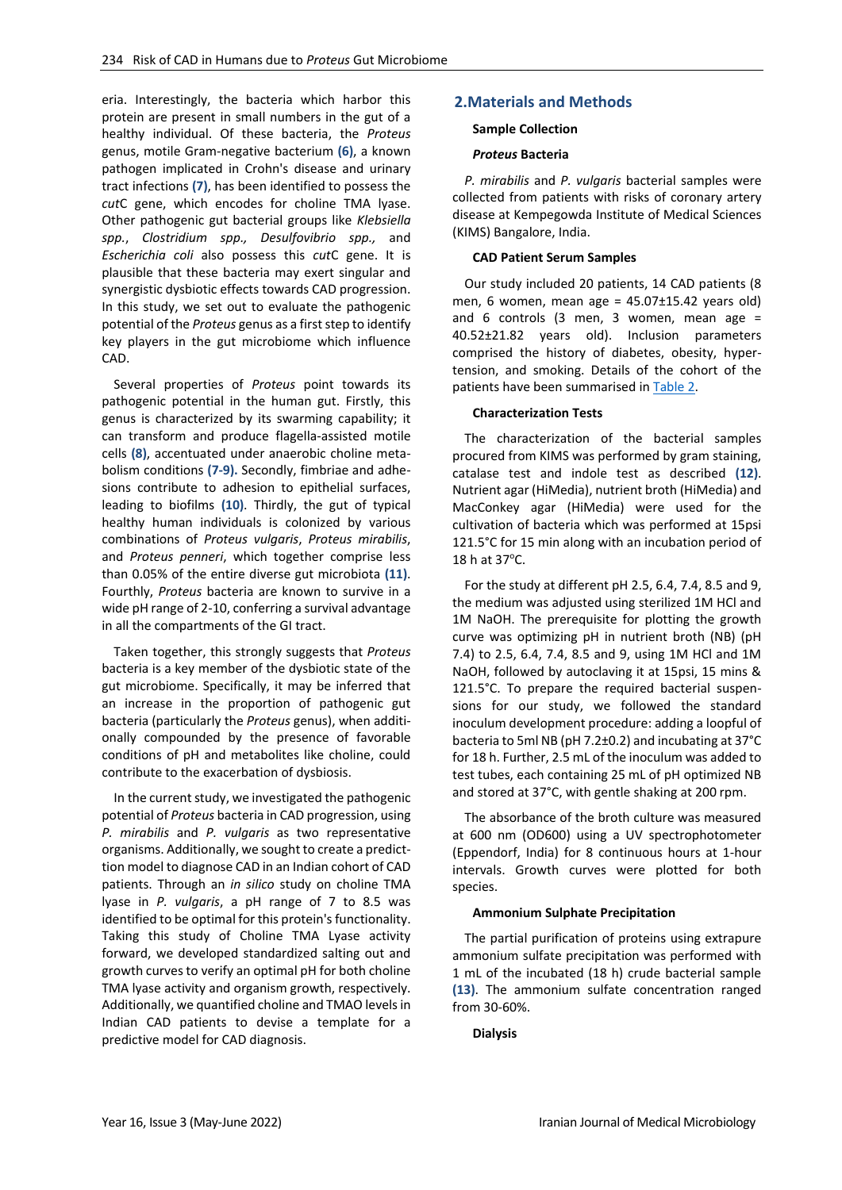eria. Interestingly, the bacteria which harbor this protein are present in small numbers in the gut of a healthy individual. Of these bacteria, the *Proteus*  genus, motile Gram-negative bacterium **(6)**, a known pathogen implicated in Crohn's disease and urinary tract infections **(7)**, has been identified to possess the *cut*C gene, which encodes for choline TMA lyase. Other pathogenic gut bacterial groups like *Klebsiella spp.*, *Clostridium spp., Desulfovibrio spp.,* and *Escherichia coli* also possess this *cut*C gene. It is plausible that these bacteria may exert singular and synergistic dysbiotic effects towards CAD progression. In this study, we set out to evaluate the pathogenic potential of the *Proteus* genus as a first step to identify key players in the gut microbiome which influence CAD.

Several properties of *Proteus* point towards its pathogenic potential in the human gut. Firstly, this genus is characterized by its swarming capability; it can transform and produce flagella-assisted motile cells **(8)**, accentuated under anaerobic choline metabolism conditions **(7-9).** Secondly, fimbriae and adhesions contribute to adhesion to epithelial surfaces, leading to biofilms **(10)**. Thirdly, the gut of typical healthy human individuals is colonized by various combinations of *Proteus vulgaris*, *Proteus mirabilis*, and *Proteus penneri*, which together comprise less than 0.05% of the entire diverse gut microbiota **(11)**. Fourthly, *Proteus* bacteria are known to survive in a wide pH range of 2-10, conferring a survival advantage in all the compartments of the GI tract.

Taken together, this strongly suggests that *Proteus* bacteria is a key member of the dysbiotic state of the gut microbiome. Specifically, it may be inferred that an increase in the proportion of pathogenic gut bacteria (particularly the *Proteus* genus), when additionally compounded by the presence of favorable conditions of pH and metabolites like choline, could contribute to the exacerbation of dysbiosis.

In the current study, we investigated the pathogenic potential of *Proteus* bacteria in CAD progression, using *P. mirabilis* and *P. vulgaris* as two representative organisms. Additionally, we sought to create a predicttion model to diagnose CAD in an Indian cohort of CAD patients. Through an *in silico* study on choline TMA lyase in *P. vulgaris*, a pH range of 7 to 8.5 was identified to be optimal for this protein's functionality. Taking this study of Choline TMA Lyase activity forward, we developed standardized salting out and growth curves to verify an optimal pH for both choline TMA lyase activity and organism growth, respectively. Additionally, we quantified choline and TMAO levels in Indian CAD patients to devise a template for a predictive model for CAD diagnosis.

## **2.Materials and Methods**

#### **Sample Collection**

### *Proteus* **Bacteria**

*P. mirabilis* and *P. vulgaris* bacterial samples were collected from patients with risks of coronary artery disease at Kempegowda Institute of Medical Sciences (KIMS) Bangalore, India.

### **CAD Patient Serum Samples**

Our study included 20 patients, 14 CAD patients (8 men, 6 women, mean age =  $45.07 \pm 15.42$  years old) and 6 controls (3 men, 3 women, mean age = 40.52±21.82 years old). Inclusion parameters comprised the history of diabetes, obesity, hypertension, and smoking. Details of the cohort of the patients have been summarised in [Table 2.](#page-6-0)

### **Characterization Tests**

The characterization of the bacterial samples procured from KIMS was performed by gram staining, catalase test and indole test as described **(12)**. Nutrient agar (HiMedia), nutrient broth (HiMedia) and MacConkey agar (HiMedia) were used for the cultivation of bacteria which was performed at 15psi 121.5°C for 15 min along with an incubation period of 18 h at  $37^{\circ}$ C.

For the study at different pH 2.5, 6.4, 7.4, 8.5 and 9, the medium was adjusted using sterilized 1M HCl and 1M NaOH. The prerequisite for plotting the growth curve was optimizing pH in nutrient broth (NB) (pH 7.4) to 2.5, 6.4, 7.4, 8.5 and 9, using 1M HCl and 1M NaOH, followed by autoclaving it at 15psi, 15 mins & 121.5°C. To prepare the required bacterial suspensions for our study, we followed the standard inoculum development procedure: adding a loopful of bacteria to 5ml NB (pH 7.2±0.2) and incubating at 37°C for 18 h. Further, 2.5 mL of the inoculum was added to test tubes, each containing 25 mL of pH optimized NB and stored at 37°C, with gentle shaking at 200 rpm.

The absorbance of the broth culture was measured at 600 nm (OD600) using a UV spectrophotometer (Eppendorf, India) for 8 continuous hours at 1-hour intervals. Growth curves were plotted for both species.

#### **Ammonium Sulphate Precipitation**

The partial purification of proteins using extrapure ammonium sulfate precipitation was performed with 1 mL of the incubated (18 h) crude bacterial sample **(13)**. The ammonium sulfate concentration ranged from 30-60%.

#### **Dialysis**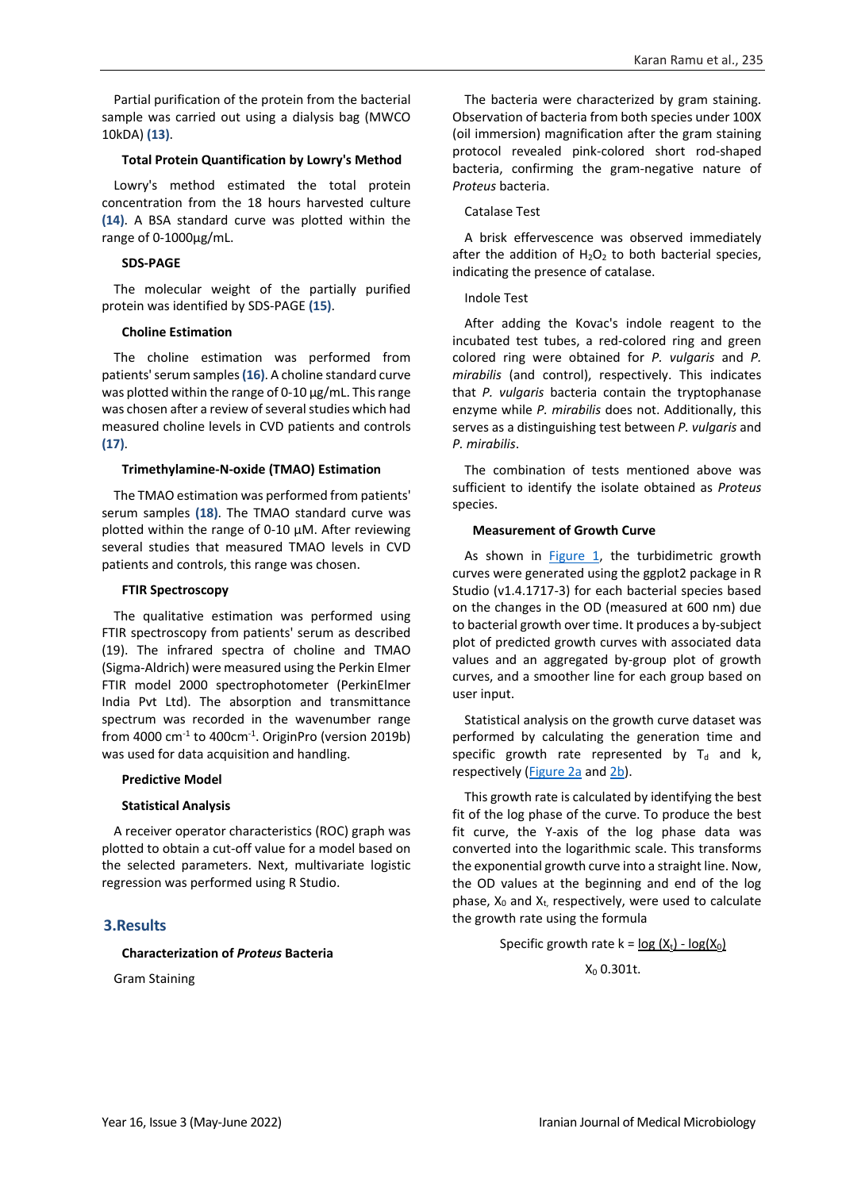Partial purification of the protein from the bacterial sample was carried out using a dialysis bag (MWCO 10kDA) **(13)**.

#### **Total Protein Quantification by Lowry's Method**

Lowry's method estimated the total protein concentration from the 18 hours harvested culture **(14)**. A BSA standard curve was plotted within the range of 0-1000µg/mL.

### **SDS-PAGE**

The molecular weight of the partially purified protein was identified by SDS-PAGE **(15)**.

### **Choline Estimation**

The choline estimation was performed from patients' serum samples **(16)**. A choline standard curve was plotted within the range of 0-10  $\mu$ g/mL. This range was chosen after a review of several studies which had measured choline levels in CVD patients and controls **(17)**.

### **Trimethylamine-N-oxide (TMAO) Estimation**

The TMAO estimation was performed from patients' serum samples **(18)**. The TMAO standard curve was plotted within the range of 0-10 µM. After reviewing several studies that measured TMAO levels in CVD patients and controls, this range was chosen.

#### **FTIR Spectroscopy**

The qualitative estimation was performed using FTIR spectroscopy from patients' serum as described (19). The infrared spectra of choline and TMAO (Sigma-Aldrich) were measured using the Perkin Elmer FTIR model 2000 spectrophotometer (PerkinElmer India Pvt Ltd). The absorption and transmittance spectrum was recorded in the wavenumber range from 4000  $\text{cm}^{-1}$  to 400 $\text{cm}^{-1}$ . OriginPro (version 2019b) was used for data acquisition and handling.

#### **Predictive Model**

#### **Statistical Analysis**

A receiver operator characteristics (ROC) graph was plotted to obtain a cut-off value for a model based on the selected parameters. Next, multivariate logistic regression was performed using R Studio.

## **3.Results**

#### **Characterization of** *Proteus* **Bacteria**

Gram Staining

The bacteria were characterized by gram staining. Observation of bacteria from both species under 100X (oil immersion) magnification after the gram staining protocol revealed pink-colored short rod-shaped bacteria, confirming the gram-negative nature of *Proteus* bacteria.

## Catalase Test

A brisk effervescence was observed immediately after the addition of  $H_2O_2$  to both bacterial species, indicating the presence of catalase.

### Indole Test

After adding the Kovac's indole reagent to the incubated test tubes, a red-colored ring and green colored ring were obtained for *P. vulgaris* and *P. mirabilis* (and control), respectively. This indicates that *P. vulgaris* bacteria contain the tryptophanase enzyme while *P. mirabilis* does not. Additionally, this serves as a distinguishing test between *P. vulgaris* and *P. mirabilis*.

The combination of tests mentioned above was sufficient to identify the isolate obtained as *Proteus* species.

### **Measurement of Growth Curve**

As shown in [Figure 1,](#page-3-0) the turbidimetric growth curves were generated using the ggplot2 package in R Studio (v1.4.1717-3) for each bacterial species based on the changes in the OD (measured at 600 nm) due to bacterial growth over time. It produces a by-subject plot of predicted growth curves with associated data values and an aggregated by-group plot of growth curves, and a smoother line for each group based on user input.

Statistical analysis on the growth curve dataset was performed by calculating the generation time and specific growth rate represented by  $T_d$  and k, respectively [\(Figure 2a](#page-3-1) an[d 2b\)](#page-3-2).

This growth rate is calculated by identifying the best fit of the log phase of the curve. To produce the best fit curve, the Y-axis of the log phase data was converted into the logarithmic scale. This transforms the exponential growth curve into a straight line. Now, the OD values at the beginning and end of the log phase,  $X_0$  and  $X_t$ , respectively, were used to calculate the growth rate using the formula

## Specific growth rate  $k = log (X_t) - log(X_0)$

 $X_0$  0.301t.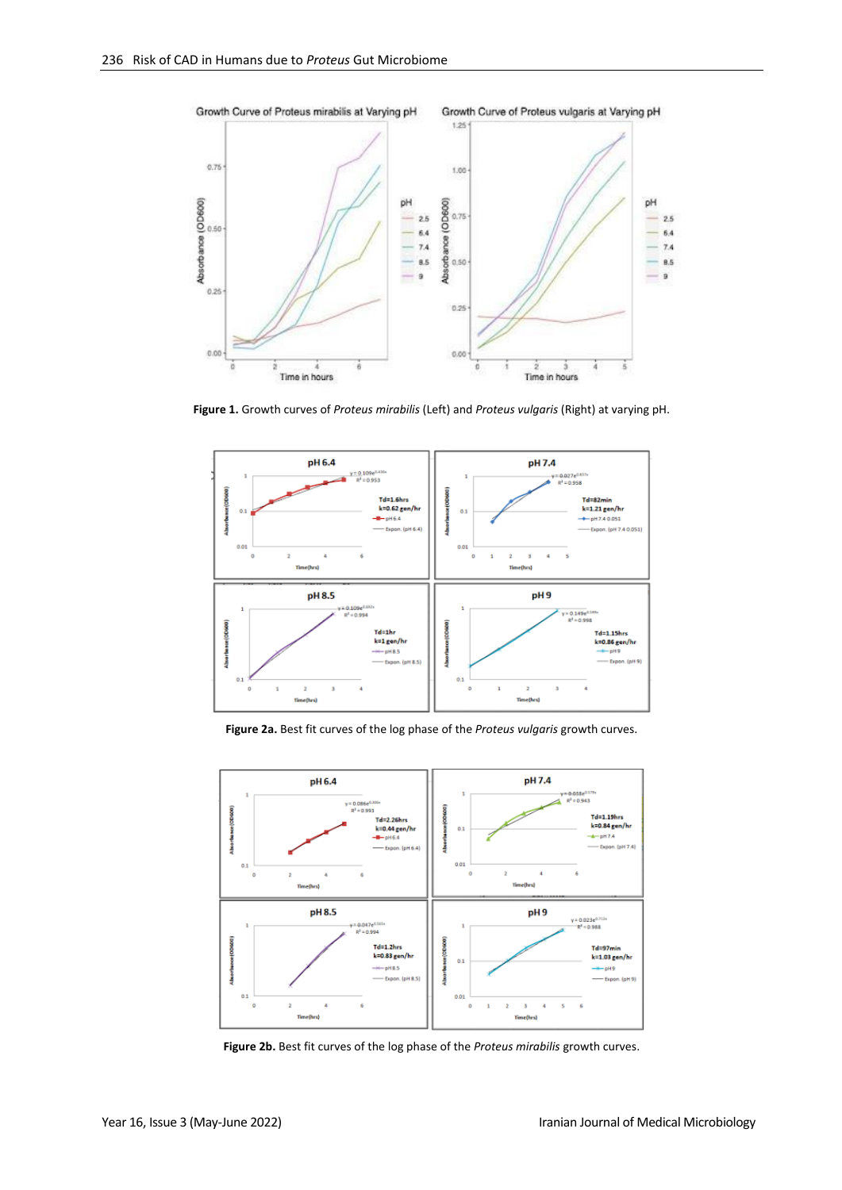

<span id="page-3-0"></span>**Figure 1.** Growth curves of *Proteus mirabilis* (Left) and *Proteus vulgaris* (Right) at varying pH.



**Figure 2a.** Best fit curves of the log phase of the *Proteus vulgaris* growth curves.

<span id="page-3-1"></span>

<span id="page-3-2"></span>**Figure 2b.** Best fit curves of the log phase of the *Proteus mirabilis* growth curves.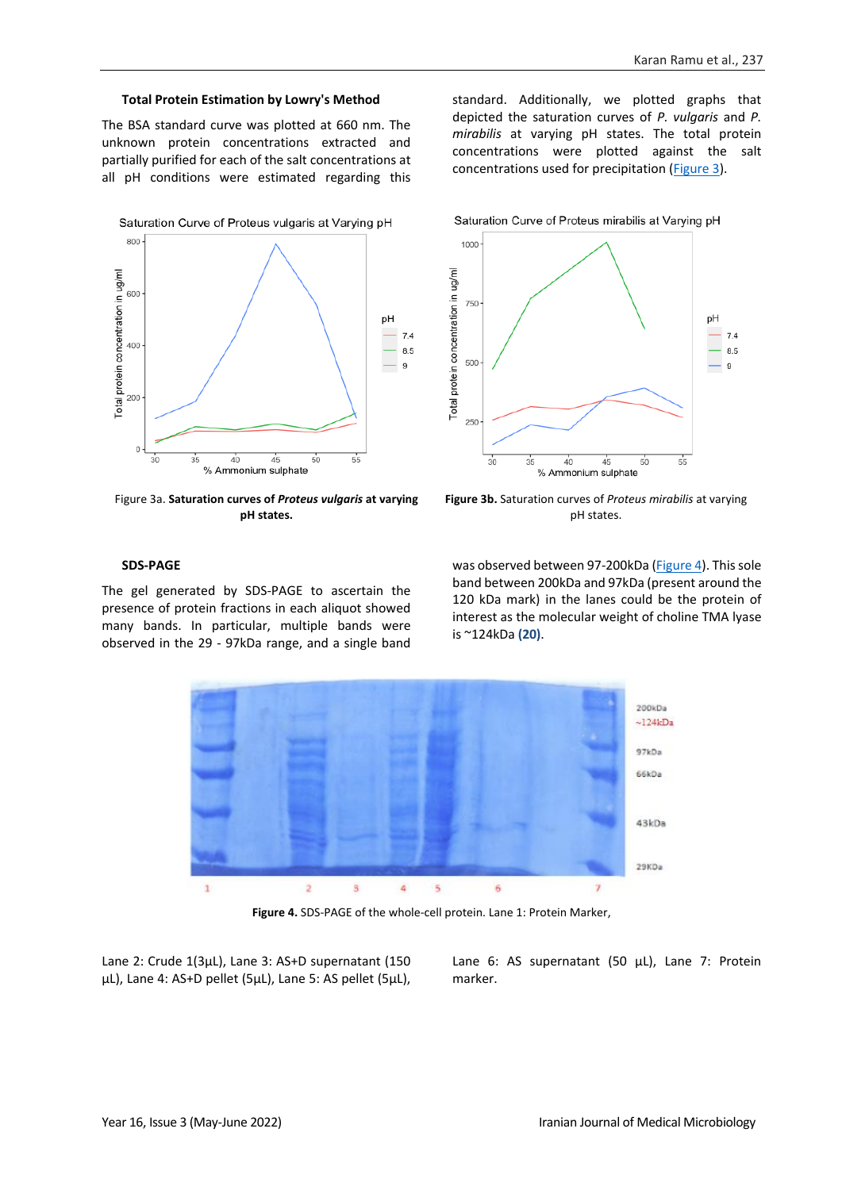### **Total Protein Estimation by Lowry's Method**

The BSA standard curve was plotted at 660 nm. The unknown protein concentrations extracted and partially purified for each of the salt concentrations at all pH conditions were estimated regarding this



<span id="page-4-0"></span>Figure 3a. **Saturation curves of** *Proteus vulgaris* **at varying pH states.**

standard. Additionally, we plotted graphs that depicted the saturation curves of *P. vulgaris* and *P. mirabilis* at varying pH states. The total protein concentrations were plotted against the salt concentrations used for precipitation [\(Figure 3\)](#page-4-0).



**Figure 3b.** Saturation curves of *Proteus mirabilis* at varying pH states.

### **SDS-PAGE**

The gel generated by SDS-PAGE to ascertain the presence of protein fractions in each aliquot showed many bands. In particular, multiple bands were observed in the 29 - 97kDa range, and a single band was observed between 97-200kDa [\(Figure 4\)](#page-4-1). This sole band between 200kDa and 97kDa (present around the 120 kDa mark) in the lanes could be the protein of interest as the molecular weight of choline TMA lyase is ~124kDa **(20)**.



**Figure 4.** SDS-PAGE of the whole-cell protein. Lane 1: Protein Marker,

<span id="page-4-1"></span>Lane 2: Crude 1(3µL), Lane 3: AS+D supernatant (150 µL), Lane 4: AS+D pellet (5µL), Lane 5: AS pellet (5µL), Lane 6: AS supernatant (50 µL), Lane 7: Protein marker.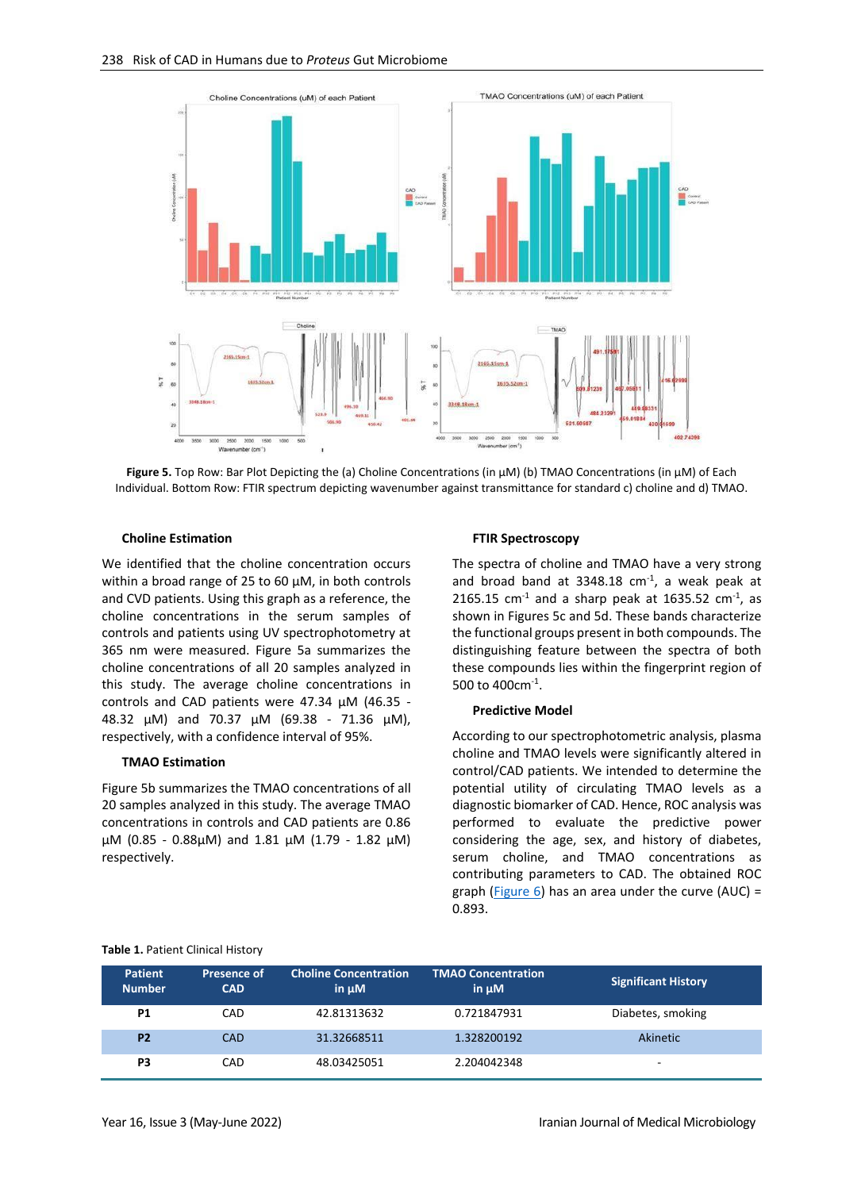

**Figure 5.** Top Row: Bar Plot Depicting the (a) Choline Concentrations (in µM) (b) TMAO Concentrations (in µM) of Each Individual. Bottom Row: FTIR spectrum depicting wavenumber against transmittance for standard c) choline and d) TMAO.

#### **Choline Estimation**

We identified that the choline concentration occurs within a broad range of 25 to 60  $\mu$ M, in both controls and CVD patients. Using this graph as a reference, the choline concentrations in the serum samples of controls and patients using UV spectrophotometry at 365 nm were measured. Figure 5a summarizes the choline concentrations of all 20 samples analyzed in this study. The average choline concentrations in controls and CAD patients were 47.34 µM (46.35 - 48.32 µM) and 70.37 µM (69.38 - 71.36 µM), respectively, with a confidence interval of 95%.

#### **TMAO Estimation**

Figure 5b summarizes the TMAO concentrations of all 20 samples analyzed in this study. The average TMAO concentrations in controls and CAD patients are 0.86 µM (0.85 - 0.88µM) and 1.81 µM (1.79 - 1.82 µM) respectively.

#### **FTIR Spectroscopy**

The spectra of choline and TMAO have a very strong and broad band at 3348.18  $cm<sup>-1</sup>$ , a weak peak at  $2165.15$  cm<sup>-1</sup> and a sharp peak at 1635.52 cm<sup>-1</sup>, as shown in Figures 5c and 5d. These bands characterize the functional groups present in both compounds. The distinguishing feature between the spectra of both these compounds lies within the fingerprint region of 500 to 400cm<sup>-1</sup>.

#### **Predictive Model**

According to our spectrophotometric analysis, plasma choline and TMAO levels were significantly altered in control/CAD patients. We intended to determine the potential utility of circulating TMAO levels as a diagnostic biomarker of CAD. Hence, ROC analysis was performed to evaluate the predictive power considering the age, sex, and history of diabetes, serum choline, and TMAO concentrations as contributing parameters to CAD. The obtained ROC graph (Figure  $6$ ) has an area under the curve (AUC) = 0.893.

<span id="page-5-0"></span>

| <b>Table 1. Patient Clinical History</b> |  |
|------------------------------------------|--|
|------------------------------------------|--|

| <b>Patient</b><br><b>Number</b> | Presence of<br><b>CAD</b> | <b>Choline Concentration</b><br>in $\mu$ M | <b>TMAO Concentration</b><br>$in \mu M$ | <b>Significant History</b> |
|---------------------------------|---------------------------|--------------------------------------------|-----------------------------------------|----------------------------|
| P <sub>1</sub>                  | CAD                       | 42.81313632                                | 0.721847931                             | Diabetes, smoking          |
| P <sub>2</sub>                  | CAD                       | 31.32668511                                | 1.328200192                             | Akinetic                   |
| P3                              | CAD                       | 48.03425051                                | 2.204042348                             | -                          |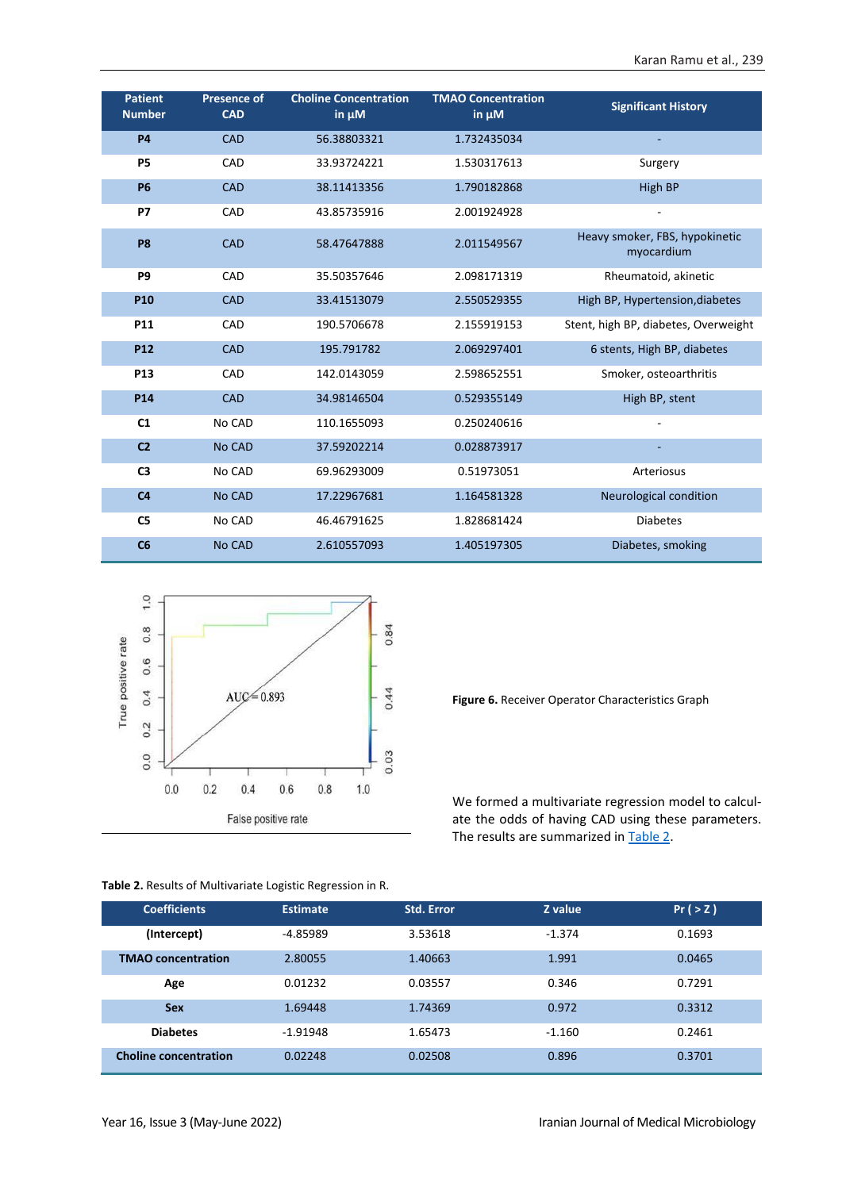| <b>Patient</b><br><b>Number</b> | <b>Presence of</b><br><b>CAD</b> | <b>Choline Concentration</b><br>in $\mu$ M | <b>TMAO Concentration</b><br>in $\mu$ M | <b>Significant History</b>                   |
|---------------------------------|----------------------------------|--------------------------------------------|-----------------------------------------|----------------------------------------------|
| <b>P4</b>                       | <b>CAD</b>                       | 56.38803321                                | 1.732435034                             |                                              |
| <b>P5</b>                       | CAD                              | 33.93724221                                | 1.530317613                             | Surgery                                      |
| <b>P6</b>                       | <b>CAD</b>                       | 38.11413356                                | 1.790182868                             | <b>High BP</b>                               |
| P7                              | CAD                              | 43.85735916                                | 2.001924928                             | $\overline{a}$                               |
| P <sub>8</sub>                  | <b>CAD</b>                       | 58.47647888                                | 2.011549567                             | Heavy smoker, FBS, hypokinetic<br>myocardium |
| P <sub>9</sub>                  | CAD                              | 35.50357646                                | 2.098171319                             | Rheumatoid, akinetic                         |
| P <sub>10</sub>                 | <b>CAD</b>                       | 33.41513079                                | 2.550529355                             | High BP, Hypertension, diabetes              |
| P11                             | CAD                              | 190.5706678                                | 2.155919153                             | Stent, high BP, diabetes, Overweight         |
| <b>P12</b>                      | <b>CAD</b>                       | 195.791782                                 | 2.069297401                             | 6 stents, High BP, diabetes                  |
| P <sub>13</sub>                 | CAD                              | 142.0143059                                | 2.598652551                             | Smoker, osteoarthritis                       |
| P <sub>14</sub>                 | <b>CAD</b>                       | 34.98146504                                | 0.529355149                             | High BP, stent                               |
| C1                              | No CAD                           | 110.1655093                                | 0.250240616                             |                                              |
| C <sub>2</sub>                  | <b>No CAD</b>                    | 37.59202214                                | 0.028873917                             |                                              |
| C <sub>3</sub>                  | No CAD                           | 69.96293009                                | 0.51973051                              | Arteriosus                                   |
| C <sub>4</sub>                  | <b>No CAD</b>                    | 17.22967681                                | 1.164581328                             | Neurological condition                       |
| C <sub>5</sub>                  | No CAD                           | 46.46791625                                | 1.828681424                             | <b>Diabetes</b>                              |
| C6                              | <b>No CAD</b>                    | 2.610557093                                | 1.405197305                             | Diabetes, smoking                            |



**Figure 6.** Receiver Operator Characteristics Graph

We formed a multivariate regression model to calculate the odds of having CAD using these parameters. The results are summarized i[n Table 2.](#page-6-0)

| <b>Coefficients</b>          | <b>Estimate</b> | <b>Std. Error</b> | Z value  | Pr(>Z) |
|------------------------------|-----------------|-------------------|----------|--------|
| (Intercept)                  | $-4.85989$      | 3.53618           | $-1.374$ | 0.1693 |
| <b>TMAO</b> concentration    | 2.80055         | 1.40663           | 1.991    | 0.0465 |
| Age                          | 0.01232         | 0.03557           | 0.346    | 0.7291 |
| <b>Sex</b>                   | 1.69448         | 1.74369           | 0.972    | 0.3312 |
| <b>Diabetes</b>              | $-1.91948$      | 1.65473           | $-1.160$ | 0.2461 |
| <b>Choline concentration</b> | 0.02248         | 0.02508           | 0.896    | 0.3701 |

<span id="page-6-0"></span>**Table 2.** Results of Multivariate Logistic Regression in R.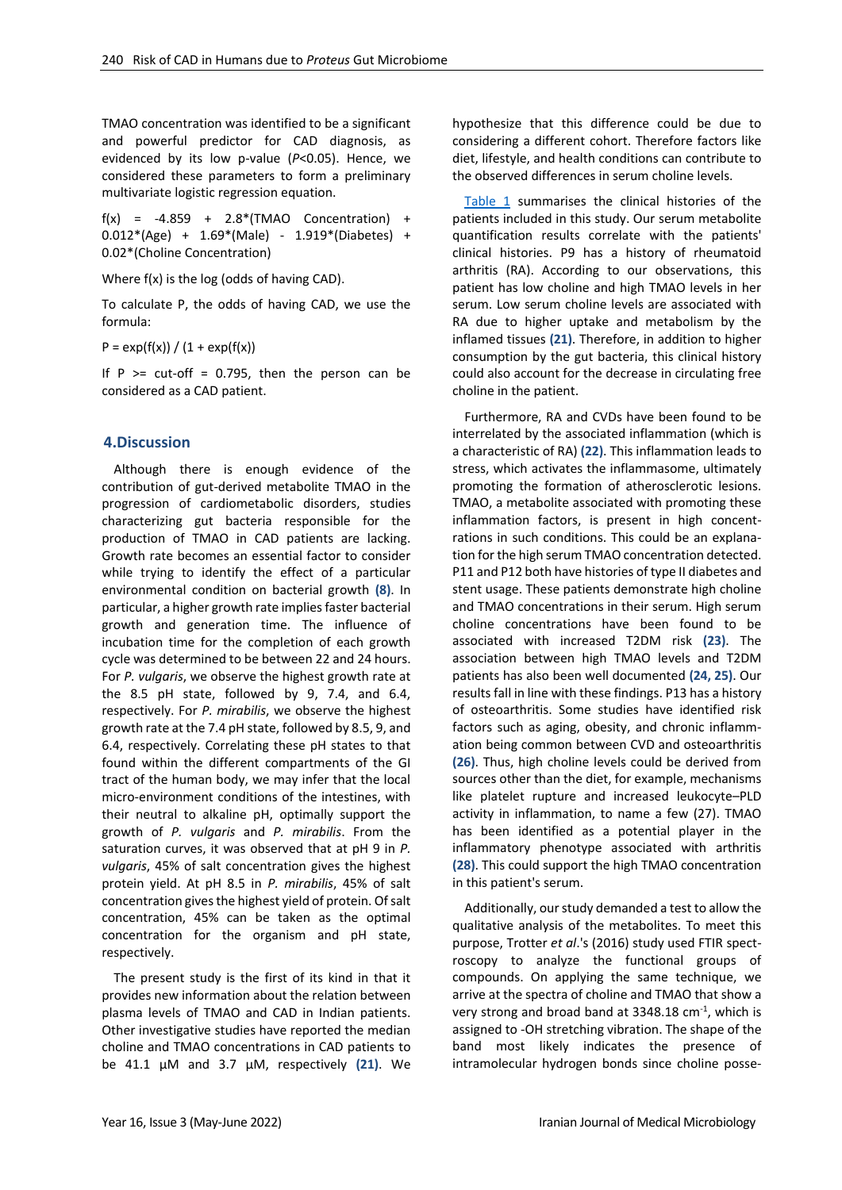TMAO concentration was identified to be a significant and powerful predictor for CAD diagnosis, as evidenced by its low p-value (*P*<0.05). Hence, we considered these parameters to form a preliminary multivariate logistic regression equation.

 $f(x) = -4.859 + 2.8*(TMAO$  Concentration) + 0.012\*(Age) + 1.69\*(Male) - 1.919\*(Diabetes) + 0.02\*(Choline Concentration)

Where f(x) is the log (odds of having CAD).

To calculate P, the odds of having CAD, we use the formula:

 $P = exp(f(x)) / (1 + exp(f(x)))$ 

If  $P$  >= cut-off = 0.795, then the person can be considered as a CAD patient.

## **4.Discussion**

Although there is enough evidence of the contribution of gut-derived metabolite TMAO in the progression of cardiometabolic disorders, studies characterizing gut bacteria responsible for the production of TMAO in CAD patients are lacking. Growth rate becomes an essential factor to consider while trying to identify the effect of a particular environmental condition on bacterial growth **(8)**. In particular, a higher growth rate implies faster bacterial growth and generation time. The influence of incubation time for the completion of each growth cycle was determined to be between 22 and 24 hours. For *P. vulgaris*, we observe the highest growth rate at the 8.5 pH state, followed by 9, 7.4, and 6.4, respectively. For *P. mirabilis*, we observe the highest growth rate at the 7.4 pH state, followed by 8.5, 9, and 6.4, respectively. Correlating these pH states to that found within the different compartments of the GI tract of the human body, we may infer that the local micro-environment conditions of the intestines, with their neutral to alkaline pH, optimally support the growth of *P. vulgaris* and *P. mirabilis*. From the saturation curves, it was observed that at pH 9 in *P. vulgaris*, 45% of salt concentration gives the highest protein yield. At pH 8.5 in *P. mirabilis*, 45% of salt concentration gives the highest yield of protein. Of salt concentration, 45% can be taken as the optimal concentration for the organism and pH state, respectively.

The present study is the first of its kind in that it provides new information about the relation between plasma levels of TMAO and CAD in Indian patients. Other investigative studies have reported the median choline and TMAO concentrations in CAD patients to be 41.1 µM and 3.7 µM, respectively **(21)**. We

hypothesize that this difference could be due to considering a different cohort. Therefore factors like diet, lifestyle, and health conditions can contribute to the observed differences in serum choline levels.

[Table 1](#page-5-0) summarises the clinical histories of the patients included in this study. Our serum metabolite quantification results correlate with the patients' clinical histories. P9 has a history of rheumatoid arthritis (RA). According to our observations, this patient has low choline and high TMAO levels in her serum. Low serum choline levels are associated with RA due to higher uptake and metabolism by the inflamed tissues **(21)**. Therefore, in addition to higher consumption by the gut bacteria, this clinical history could also account for the decrease in circulating free choline in the patient.

Furthermore, RA and CVDs have been found to be interrelated by the associated inflammation (which is a characteristic of RA) **(22)**. This inflammation leads to stress, which activates the inflammasome, ultimately promoting the formation of atherosclerotic lesions. TMAO, a metabolite associated with promoting these inflammation factors, is present in high concentrations in such conditions. This could be an explanation for the high serum TMAO concentration detected. P11 and P12 both have histories of type II diabetes and stent usage. These patients demonstrate high choline and TMAO concentrations in their serum. High serum choline concentrations have been found to be associated with increased T2DM risk **(23)**. The association between high TMAO levels and T2DM patients has also been well documented **(24, 25)**. Our results fall in line with these findings. P13 has a history of osteoarthritis. Some studies have identified risk factors such as aging, obesity, and chronic inflammation being common between CVD and osteoarthritis **(26)**. Thus, high choline levels could be derived from sources other than the diet, for example, mechanisms like platelet rupture and increased leukocyte–PLD activity in inflammation, to name a few (27). TMAO has been identified as a potential player in the inflammatory phenotype associated with arthritis **(28)**. This could support the high TMAO concentration in this patient's serum.

Additionally, our study demanded a test to allow the qualitative analysis of the metabolites. To meet this purpose, Trotter *et al*.'s (2016) study used FTIR spectroscopy to analyze the functional groups of compounds. On applying the same technique, we arrive at the spectra of choline and TMAO that show a very strong and broad band at 3348.18 cm<sup>-1</sup>, which is assigned to -OH stretching vibration. The shape of the band most likely indicates the presence of intramolecular hydrogen bonds since choline posse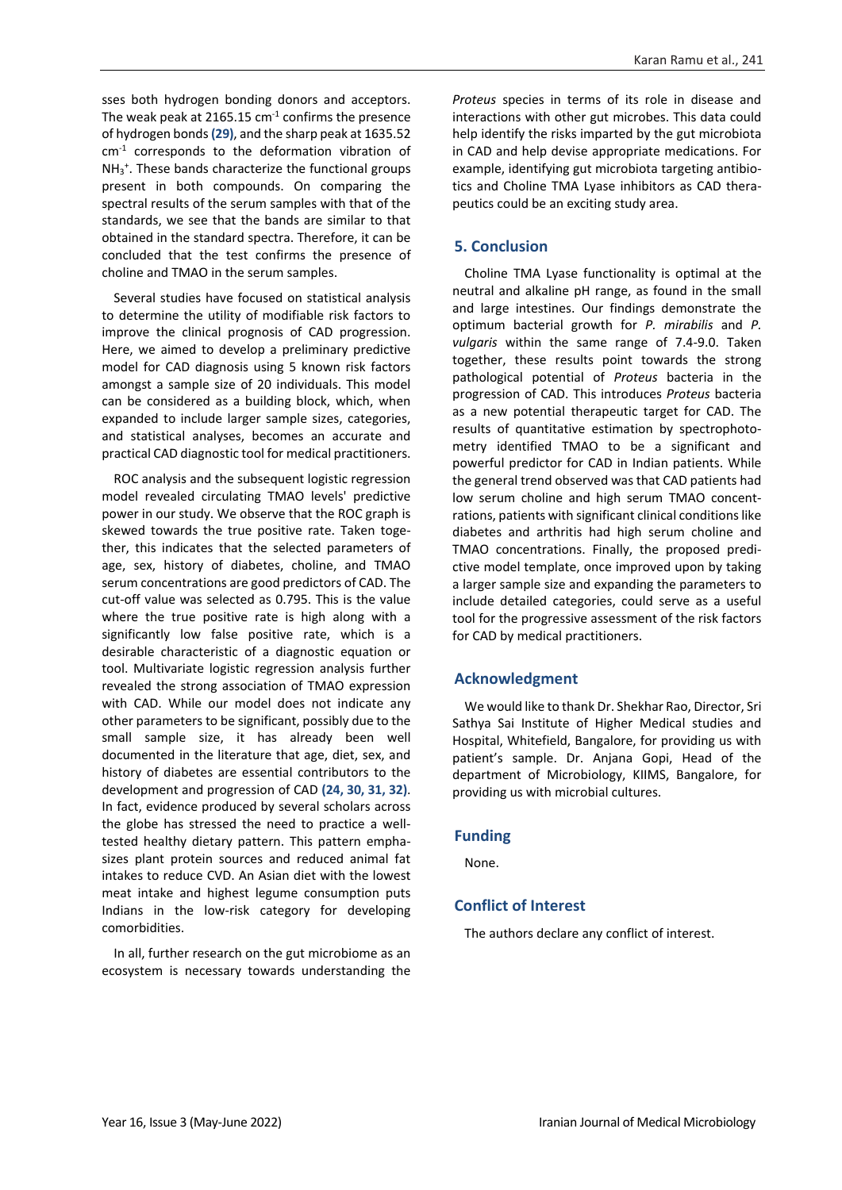sses both hydrogen bonding donors and acceptors. The weak peak at 2165.15  $cm<sup>-1</sup>$  confirms the presence of hydrogen bonds **(29)**, and the sharp peak at 1635.52 cm<sup>-1</sup> corresponds to the deformation vibration of NH<sub>3</sub><sup>+</sup>. These bands characterize the functional groups present in both compounds. On comparing the spectral results of the serum samples with that of the standards, we see that the bands are similar to that obtained in the standard spectra. Therefore, it can be concluded that the test confirms the presence of choline and TMAO in the serum samples.

Several studies have focused on statistical analysis to determine the utility of modifiable risk factors to improve the clinical prognosis of CAD progression. Here, we aimed to develop a preliminary predictive model for CAD diagnosis using 5 known risk factors amongst a sample size of 20 individuals. This model can be considered as a building block, which, when expanded to include larger sample sizes, categories, and statistical analyses, becomes an accurate and practical CAD diagnostic tool for medical practitioners.

ROC analysis and the subsequent logistic regression model revealed circulating TMAO levels' predictive power in our study. We observe that the ROC graph is skewed towards the true positive rate. Taken together, this indicates that the selected parameters of age, sex, history of diabetes, choline, and TMAO serum concentrations are good predictors of CAD. The cut-off value was selected as 0.795. This is the value where the true positive rate is high along with a significantly low false positive rate, which is a desirable characteristic of a diagnostic equation or tool. Multivariate logistic regression analysis further revealed the strong association of TMAO expression with CAD. While our model does not indicate any other parameters to be significant, possibly due to the small sample size, it has already been well documented in the literature that age, diet, sex, and history of diabetes are essential contributors to the development and progression of CAD **(24, 30, 31, 32)**. In fact, evidence produced by several scholars across the globe has stressed the need to practice a welltested healthy dietary pattern. This pattern emphasizes plant protein sources and reduced animal fat intakes to reduce CVD. An Asian diet with the lowest meat intake and highest legume consumption puts Indians in the low-risk category for developing comorbidities.

In all, further research on the gut microbiome as an ecosystem is necessary towards understanding the

*Proteus* species in terms of its role in disease and interactions with other gut microbes. This data could help identify the risks imparted by the gut microbiota in CAD and help devise appropriate medications. For example, identifying gut microbiota targeting antibiotics and Choline TMA Lyase inhibitors as CAD therapeutics could be an exciting study area.

## **5. Conclusion**

Choline TMA Lyase functionality is optimal at the neutral and alkaline pH range, as found in the small and large intestines. Our findings demonstrate the optimum bacterial growth for *P. mirabilis* and *P. vulgaris* within the same range of 7.4-9.0. Taken together, these results point towards the strong pathological potential of *Proteus* bacteria in the progression of CAD. This introduces *Proteus* bacteria as a new potential therapeutic target for CAD. The results of quantitative estimation by spectrophotometry identified TMAO to be a significant and powerful predictor for CAD in Indian patients. While the general trend observed was that CAD patients had low serum choline and high serum TMAO concentrations, patients with significant clinical conditions like diabetes and arthritis had high serum choline and TMAO concentrations. Finally, the proposed predictive model template, once improved upon by taking a larger sample size and expanding the parameters to include detailed categories, could serve as a useful tool for the progressive assessment of the risk factors for CAD by medical practitioners.

## **Acknowledgment**

We would like to thank Dr. Shekhar Rao, Director, Sri Sathya Sai Institute of Higher Medical studies and Hospital, Whitefield, Bangalore, for providing us with patient's sample. Dr. Anjana Gopi, Head of the department of Microbiology, KIIMS, Bangalore, for providing us with microbial cultures.

## **Funding**

None.

## **Conflict of Interest**

The authors declare any conflict of interest.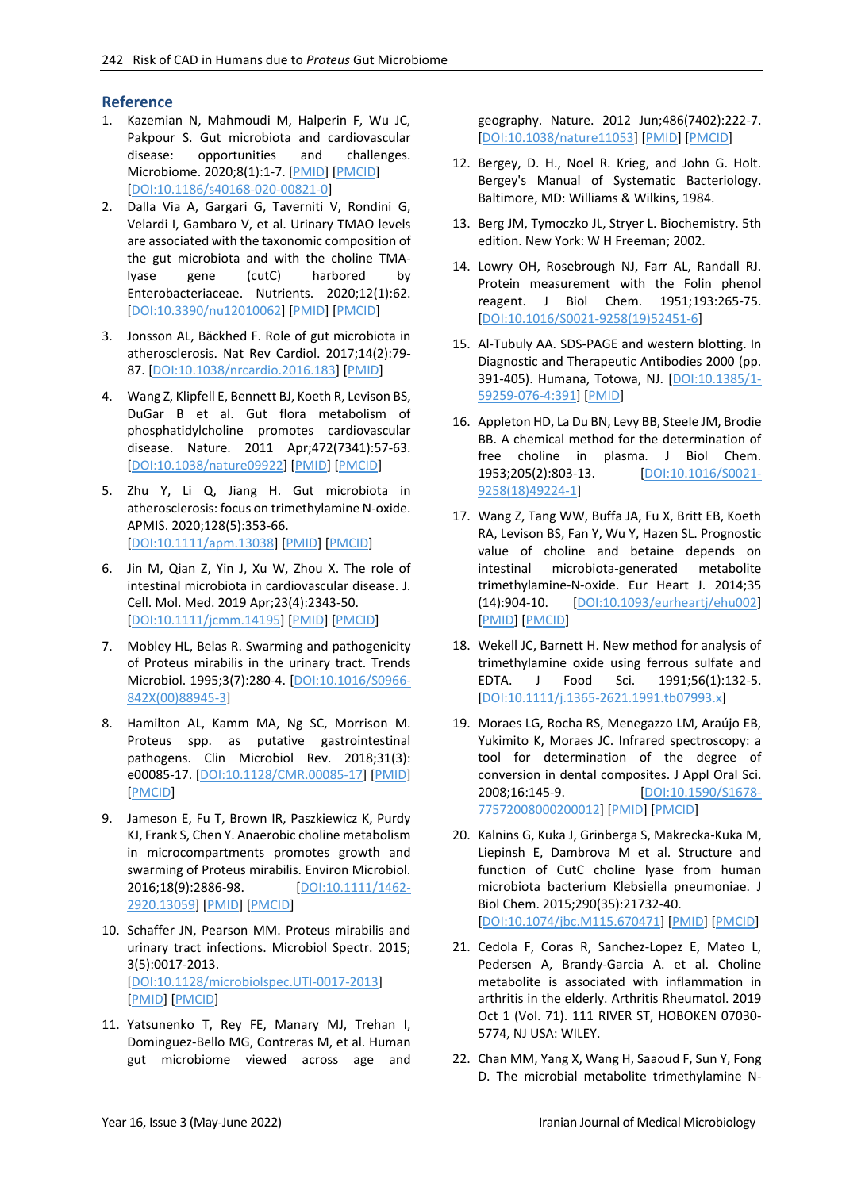## **Reference**

- 1. Kazemian N, Mahmoudi M, Halperin F, Wu JC, Pakpour S. Gut microbiota and cardiovascular disease: opportunities and challenges. Microbiome. 2020;8(1):1-7. [\[PMID\]](https://www.ncbi.nlm.nih.gov/pubmed/32169105) [\[PMCID\]](http://www.ncbi.nlm.nih.gov/pmc/articles/PMC7071638) [\[DOI:10.1186/s40168-020-00821-0\]](https://doi.org/10.1186/s40168-020-00821-0)
- 2. Dalla Via A, Gargari G, Taverniti V, Rondini G, Velardi I, Gambaro V, et al. Urinary TMAO levels are associated with the taxonomic composition of the gut microbiota and with the choline TMAlyase gene (cutC) harbored by Enterobacteriaceae. Nutrients. 2020;12(1):62. [\[DOI:10.3390/nu12010062\]](https://doi.org/10.3390/nu12010062) [\[PMID\]](https://www.ncbi.nlm.nih.gov/pubmed/31881690) [\[PMCID\]](http://www.ncbi.nlm.nih.gov/pmc/articles/PMC7019844)
- 3. Jonsson AL, Bäckhed F. Role of gut microbiota in atherosclerosis. Nat Rev Cardiol. 2017;14(2):79- 87. [\[DOI:10.1038/nrcardio.2016.183\]](https://doi.org/10.1038/nrcardio.2016.183) [\[PMID\]](https://www.ncbi.nlm.nih.gov/pubmed/27905479)
- 4. Wang Z, Klipfell E, Bennett BJ, Koeth R, Levison BS, DuGar B et al. Gut flora metabolism of phosphatidylcholine promotes cardiovascular disease. Nature. 2011 Apr;472(7341):57-63. [\[DOI:10.1038/nature09922\]](https://doi.org/10.1038/nature09922) [\[PMID\]](https://www.ncbi.nlm.nih.gov/pubmed/21475195) [\[PMCID\]](http://www.ncbi.nlm.nih.gov/pmc/articles/PMC3086762)
- 5. Zhu Y, Li Q, Jiang H. Gut microbiota in atherosclerosis: focus on trimethylamine N‐oxide. APMIS. 2020;128(5):353-66. [\[DOI:10.1111/apm.13038\]](https://doi.org/10.1111/apm.13038) [\[PMID\]](https://www.ncbi.nlm.nih.gov/pubmed/32108960) [\[PMCID\]](http://www.ncbi.nlm.nih.gov/pmc/articles/PMC7318354)
- 6. Jin M, Qian Z, Yin J, Xu W, Zhou X. The role of intestinal microbiota in cardiovascular disease. J. Cell. Mol. Med. 2019 Apr;23(4):2343-50. [\[DOI:10.1111/jcmm.14195\]](https://doi.org/10.1111/jcmm.14195) [\[PMID\]](https://www.ncbi.nlm.nih.gov/pubmed/30712327) [\[PMCID\]](http://www.ncbi.nlm.nih.gov/pmc/articles/PMC6433673)
- 7. Mobley HL, Belas R. Swarming and pathogenicity of Proteus mirabilis in the urinary tract. Trends Microbiol. 1995;3(7):280-4. [\[DOI:10.1016/S0966-](https://doi.org/10.1016/S0966-842X(00)88945-3) [842X\(00\)88945-3\]](https://doi.org/10.1016/S0966-842X(00)88945-3)
- 8. Hamilton AL, Kamm MA, Ng SC, Morrison M. Proteus spp. as putative gastrointestinal pathogens. Clin Microbiol Rev. 2018;31(3): e00085-17. [\[DOI:10.1128/CMR.00085-17\]](https://doi.org/10.1128/CMR.00085-17) [\[PMID\]](https://www.ncbi.nlm.nih.gov/pubmed/29899011) [\[PMCID\]](http://www.ncbi.nlm.nih.gov/pmc/articles/PMC6056842)
- 9. Jameson E, Fu T, Brown IR, Paszkiewicz K, Purdy KJ, Frank S, Chen Y. Anaerobic choline metabolism in microcompartments promotes growth and swarming of Proteus mirabilis. Environ Microbiol. 2016;18(9):2886-98. [\[DOI:10.1111/1462-](https://doi.org/10.1111/1462-2920.13059) [2920.13059\]](https://doi.org/10.1111/1462-2920.13059) [\[PMID\]](https://www.ncbi.nlm.nih.gov/pubmed/26404097) [\[PMCID\]](http://www.ncbi.nlm.nih.gov/pmc/articles/PMC5026066)
- 10. Schaffer JN, Pearson MM. Proteus mirabilis and urinary tract infections. Microbiol Spectr. 2015; 3(5):0017-2013. [\[DOI:10.1128/microbiolspec.UTI-0017-2013\]](https://doi.org/10.1128/microbiolspec.UTI-0017-2013) [\[PMID\]](https://www.ncbi.nlm.nih.gov/pubmed/26542036) [\[PMCID\]](http://www.ncbi.nlm.nih.gov/pmc/articles/PMC4638163)
- 11. Yatsunenko T, Rey FE, Manary MJ, Trehan I, Dominguez-Bello MG, Contreras M, et al. Human gut microbiome viewed across age and

geography. Nature. 2012 Jun;486(7402):222-7. [\[DOI:10.1038/nature11053\]](https://doi.org/10.1038/nature11053) [\[PMID\]](https://www.ncbi.nlm.nih.gov/pubmed/22699611) [\[PMCID\]](http://www.ncbi.nlm.nih.gov/pmc/articles/PMC3376388)

- 12. Bergey, D. H., Noel R. Krieg, and John G. Holt. Bergey's Manual of Systematic Bacteriology. Baltimore, MD: Williams & Wilkins, 1984.
- 13. Berg JM, Tymoczko JL, Stryer L. Biochemistry. 5th edition. New York: W H Freeman; 2002.
- 14. Lowry OH, Rosebrough NJ, Farr AL, Randall RJ. Protein measurement with the Folin phenol reagent. J Biol Chem. 1951;193:265-75. [\[DOI:10.1016/S0021-9258\(19\)52451-6\]](https://doi.org/10.1016/S0021-9258(19)52451-6)
- 15. Al-Tubuly AA. SDS-PAGE and western blotting. In Diagnostic and Therapeutic Antibodies 2000 (pp. 391-405). Humana, Totowa, NJ. [\[DOI:10.1385/1-](https://doi.org/10.1385/1-59259-076-4:391) [59259-076-4:391\]](https://doi.org/10.1385/1-59259-076-4:391) [\[PMID\]](https://www.ncbi.nlm.nih.gov/pubmed/21337110)
- 16. Appleton HD, La Du BN, Levy BB, Steele JM, Brodie BB. A chemical method for the determination of free choline in plasma. J Biol Chem. 1953;205(2):803-13. [\[DOI:10.1016/S0021-](https://doi.org/10.1016/S0021-9258(18)49224-1) [9258\(18\)49224-1\]](https://doi.org/10.1016/S0021-9258(18)49224-1)
- 17. Wang Z, Tang WW, Buffa JA, Fu X, Britt EB, Koeth RA, Levison BS, Fan Y, Wu Y, Hazen SL. Prognostic value of choline and betaine depends on intestinal microbiota-generated metabolite trimethylamine-N-oxide. Eur Heart J. 2014;35 (14):904-10. [\[DOI:10.1093/eurheartj/ehu002\]](https://doi.org/10.1093/eurheartj/ehu002) [\[PMID\]](https://www.ncbi.nlm.nih.gov/pubmed/24497336) [\[PMCID\]](http://www.ncbi.nlm.nih.gov/pmc/articles/PMC3977137)
- 18. Wekell JC, Barnett H. New method for analysis of trimethylamine oxide using ferrous sulfate and EDTA. J Food Sci. 1991;56(1):132-5. [\[DOI:10.1111/j.1365-2621.1991.tb07993.x\]](https://doi.org/10.1111/j.1365-2621.1991.tb07993.x)
- 19. Moraes LG, Rocha RS, Menegazzo LM, Araújo EB, Yukimito K, Moraes JC. Infrared spectroscopy: a tool for determination of the degree of conversion in dental composites. J Appl Oral Sci. 2008;16:145-9. [\[DOI:10.1590/S1678-](https://doi.org/10.1590/S1678-77572008000200012) [77572008000200012\]](https://doi.org/10.1590/S1678-77572008000200012) [\[PMID\]](https://www.ncbi.nlm.nih.gov/pubmed/19089207) [\[PMCID\]](http://www.ncbi.nlm.nih.gov/pmc/articles/PMC4327635)
- 20. Kalnins G, Kuka J, Grinberga S, Makrecka-Kuka M, Liepinsh E, Dambrova M et al. Structure and function of CutC choline lyase from human microbiota bacterium Klebsiella pneumoniae. J Biol Chem. 2015;290(35):21732-40. [\[DOI:10.1074/jbc.M115.670471\]](https://doi.org/10.1074/jbc.M115.670471) [\[PMID\]](https://www.ncbi.nlm.nih.gov/pubmed/26187464) [\[PMCID\]](http://www.ncbi.nlm.nih.gov/pmc/articles/PMC4571895)
- 21. Cedola F, Coras R, Sanchez-Lopez E, Mateo L, Pedersen A, Brandy-Garcia A. et al. Choline metabolite is associated with inflammation in arthritis in the elderly. Arthritis Rheumatol. 2019 Oct 1 (Vol. 71). 111 RIVER ST, HOBOKEN 07030- 5774, NJ USA: WILEY.
- 22. Chan MM, Yang X, Wang H, Saaoud F, Sun Y, Fong D. The microbial metabolite trimethylamine N-